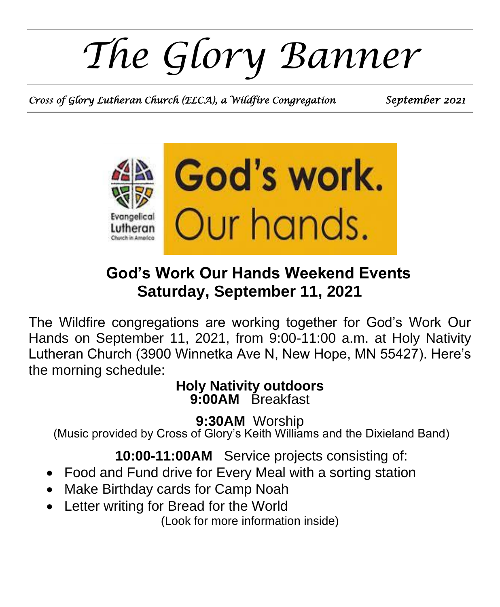*The Glory Banner*

*Cross of Glory Lutheran Church (ELCA), a Wildfire Congregation September 2021* 



## **God's Work Our Hands Weekend Events Saturday, September 11, 2021**

The Wildfire congregations are working together for God's Work Our Hands on September 11, 2021, from 9:00-11:00 a.m. at Holy Nativity Lutheran Church (3900 Winnetka Ave N, New Hope, MN 55427). Here's the morning schedule:

#### **Holy Nativity outdoors 9:00AM** Breakfast

**9:30AM** Worship (Music provided by Cross of Glory's Keith Williams and the Dixieland Band)

**10:00-11:00AM** Service projects consisting of:

- Food and Fund drive for Every Meal with a sorting station
- Make Birthday cards for Camp Noah
- Letter writing for Bread for the World

(Look for more information inside)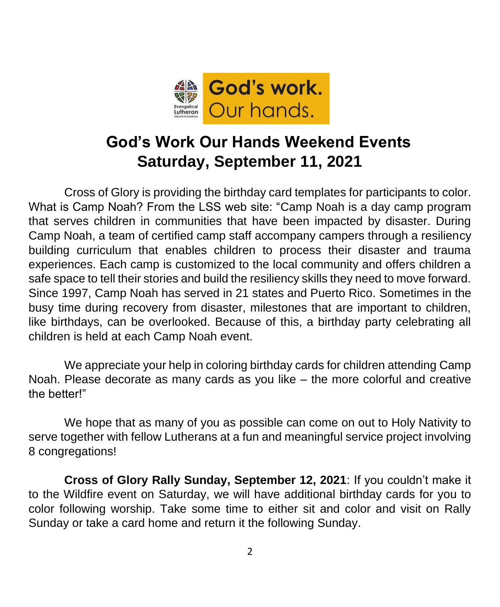

# **God's Work Our Hands Weekend Events Saturday, September 11, 2021**

Cross of Glory is providing the birthday card templates for participants to color. What is Camp Noah? From the LSS web site: "Camp Noah is a day camp program that serves children in communities that have been impacted by disaster. During Camp Noah, a team of certified camp staff accompany campers through a resiliency building curriculum that enables children to process their disaster and trauma experiences. Each camp is customized to the local community and offers children a safe space to tell their stories and build the resiliency skills they need to move forward. Since 1997, Camp Noah has served in 21 states and Puerto Rico. Sometimes in the busy time during recovery from disaster, milestones that are important to children, like birthdays, can be overlooked. Because of this, a birthday party celebrating all children is held at each Camp Noah event.

We appreciate your help in coloring birthday cards for children attending Camp Noah. Please decorate as many cards as you like – the more colorful and creative the better!"

We hope that as many of you as possible can come on out to Holy Nativity to serve together with fellow Lutherans at a fun and meaningful service project involving 8 congregations!

**Cross of Glory Rally Sunday, September 12, 2021**: If you couldn't make it to the Wildfire event on Saturday, we will have additional birthday cards for you to color following worship. Take some time to either sit and color and visit on Rally Sunday or take a card home and return it the following Sunday.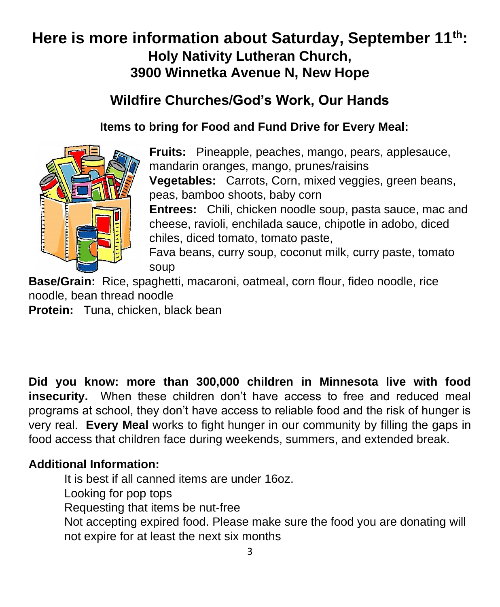### **Here is more information about Saturday, September 11th: Holy Nativity Lutheran Church, 3900 Winnetka Avenue N, New Hope**

### **Wildfire Churches/God's Work, Our Hands**

#### **Items to bring for Food and Fund Drive for Every Meal:**



**Fruits:** Pineapple, peaches, mango, pears, applesauce, mandarin oranges, mango, prunes/raisins **Vegetables:** Carrots, Corn, mixed veggies, green beans, peas, bamboo shoots, baby corn **Entrees:** Chili, chicken noodle soup, pasta sauce, mac and cheese, ravioli, enchilada sauce, chipotle in adobo, diced chiles, diced tomato, tomato paste, Fava beans, curry soup, coconut milk, curry paste, tomato soup

**Base/Grain:** Rice, spaghetti, macaroni, oatmeal, corn flour, fideo noodle, rice noodle, bean thread noodle

**Protein:** Tuna, chicken, black bean

**Did you know: more than 300,000 children in Minnesota live with food insecurity.** When these children don't have access to free and reduced meal programs at school, they don't have access to reliable food and the risk of hunger is very real. **Every Meal** works to fight hunger in our community by filling the gaps in food access that children face during weekends, summers, and extended break.

#### **Additional Information:**

It is best if all canned items are under 16oz. Looking for pop tops Requesting that items be nut-free Not accepting expired food. Please make sure the food you are donating will not expire for at least the next six months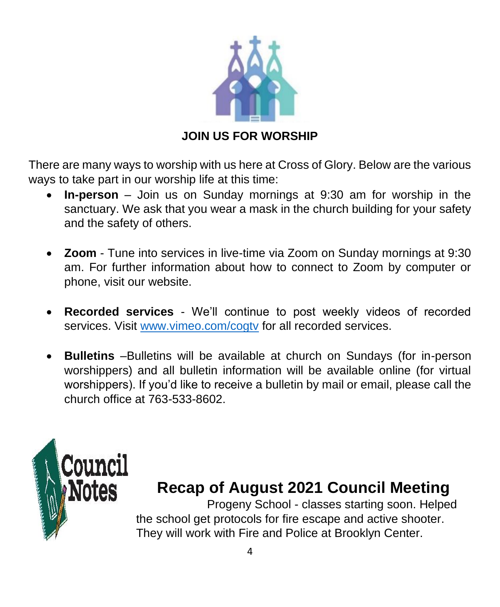

#### **JOIN US FOR WORSHIP**

There are many ways to worship with us here at Cross of Glory. Below are the various ways to take part in our worship life at this time:

- **In-person**  Join us on Sunday mornings at 9:30 am for worship in the sanctuary. We ask that you wear a mask in the church building for your safety and the safety of others.
- **Zoom** Tune into services in live-time via Zoom on Sunday mornings at 9:30 am. For further information about how to connect to Zoom by computer or phone, visit our website.
- **Recorded services** We'll continue to post weekly videos of recorded services. Visit [www.vimeo.com/cogtv](http://www.vimeo.com/cogtv) for all recorded services.
- **Bulletins** –Bulletins will be available at church on Sundays (for in-person worshippers) and all bulletin information will be available online (for virtual worshippers). If you'd like to receive a bulletin by mail or email, please call the church office at 763-533-8602.



# **Recap of August 2021 Council Meeting**

Progeny School - classes starting soon. Helped the school get protocols for fire escape and active shooter. They will work with Fire and Police at Brooklyn Center.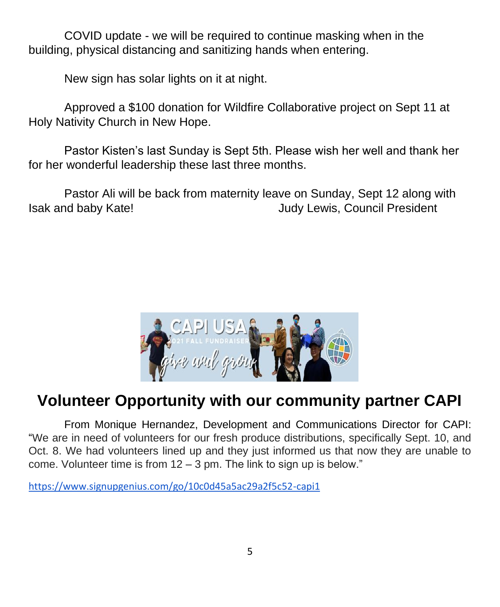COVID update - we will be required to continue masking when in the building, physical distancing and sanitizing hands when entering.

New sign has solar lights on it at night.

Approved a \$100 donation for Wildfire Collaborative project on Sept 11 at Holy Nativity Church in New Hope.

Pastor Kisten's last Sunday is Sept 5th. Please wish her well and thank her for her wonderful leadership these last three months.

Pastor Ali will be back from maternity leave on Sunday, Sept 12 along with Isak and baby Kate! Judy Lewis, Council President



# **Volunteer Opportunity with our community partner CAPI**

From Monique Hernandez, Development and Communications Director for CAPI: "We are in need of volunteers for our fresh produce distributions, specifically Sept. 10, and Oct. 8. We had volunteers lined up and they just informed us that now they are unable to come. Volunteer time is from 12 – 3 pm. The link to sign up is below."

<https://www.signupgenius.com/go/10c0d45a5ac29a2f5c52-capi1>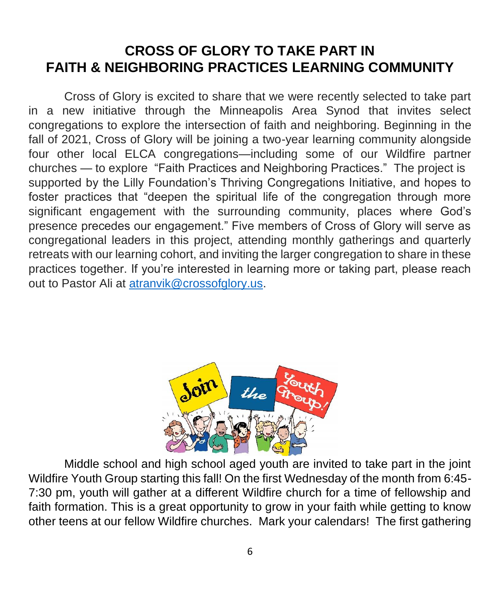### **CROSS OF GLORY TO TAKE PART IN FAITH & NEIGHBORING PRACTICES LEARNING COMMUNITY**

Cross of Glory is excited to share that we were recently selected to take part in a new initiative through the Minneapolis Area Synod that invites select congregations to explore the intersection of faith and neighboring. Beginning in the fall of 2021, Cross of Glory will be joining a two-year learning community alongside four other local ELCA congregations—including some of our Wildfire partner churches — to explore "Faith Practices and Neighboring Practices." The project is supported by the Lilly Foundation's Thriving Congregations Initiative, and hopes to foster practices that "deepen the spiritual life of the congregation through more significant engagement with the surrounding community, places where God's presence precedes our engagement." Five members of Cross of Glory will serve as congregational leaders in this project, attending monthly gatherings and quarterly retreats with our learning cohort, and inviting the larger congregation to share in these practices together. If you're interested in learning more or taking part, please reach out to Pastor Ali at [atranvik@crossofglory.us.](mailto:atranvik@crossofglory.us)



Middle school and high school aged youth are invited to take part in the joint Wildfire Youth Group starting this fall! On the first Wednesday of the month from 6:45- 7:30 pm, youth will gather at a different Wildfire church for a time of fellowship and faith formation. This is a great opportunity to grow in your faith while getting to know other teens at our fellow Wildfire churches. Mark your calendars! The first gathering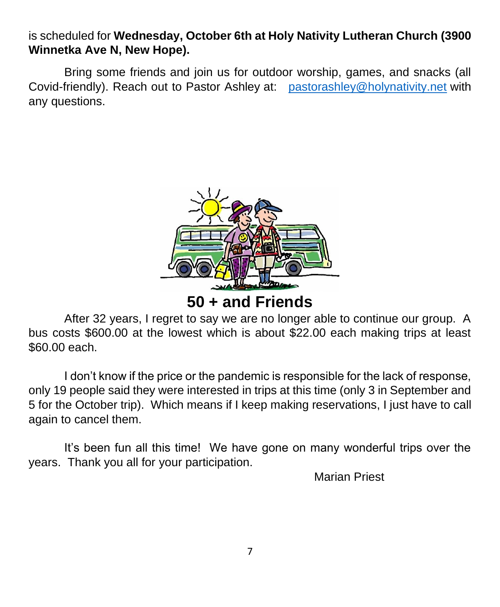is scheduled for **Wednesday, October 6th at Holy Nativity Lutheran Church (3900 Winnetka Ave N, New Hope).**

Bring some friends and join us for outdoor worship, games, and snacks (all Covid-friendly). Reach out to Pastor Ashley at: [pastorashley@holynativity.net](mailto:pastorashley@holynativity.net) with any questions.



**50 + and Friends**

After 32 years, I regret to say we are no longer able to continue our group. A bus costs \$600.00 at the lowest which is about \$22.00 each making trips at least \$60.00 each.

I don't know if the price or the pandemic is responsible for the lack of response, only 19 people said they were interested in trips at this time (only 3 in September and 5 for the October trip). Which means if I keep making reservations, I just have to call again to cancel them.

It's been fun all this time! We have gone on many wonderful trips over the years. Thank you all for your participation.

Marian Priest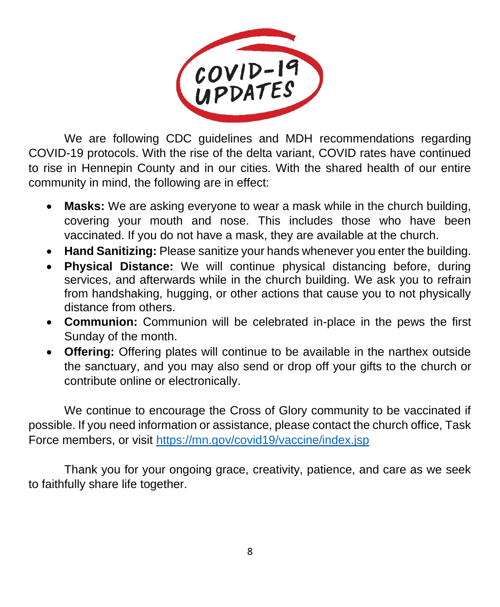

We are following CDC guidelines and MDH recommendations regarding COVID-19 protocols. With the rise of the delta variant, COVID rates have continued to rise in Hennepin County and in our cities. With the shared health of our entire community in mind, the following are in effect:

- **Masks:** We are asking everyone to wear a mask while in the church building, covering your mouth and nose. This includes those who have been vaccinated. If you do not have a mask, they are available at the church.
- **Hand Sanitizing:** Please sanitize your hands whenever you enter the building.
- **Physical Distance:** We will continue physical distancing before, during services, and afterwards while in the church building. We ask you to refrain from handshaking, hugging, or other actions that cause you to not physically distance from others.
- **Communion:** Communion will be celebrated in-place in the pews the first Sunday of the month.
- **Offering:** Offering plates will continue to be available in the narthex outside the sanctuary, and you may also send or drop off your gifts to the church or contribute online or electronically.

We continue to encourage the Cross of Glory community to be vaccinated if possible. If you need information or assistance, please contact the church office, Task Force members, or visit<https://mn.gov/covid19/vaccine/index.jsp>

Thank you for your ongoing grace, creativity, patience, and care as we seek to faithfully share life together.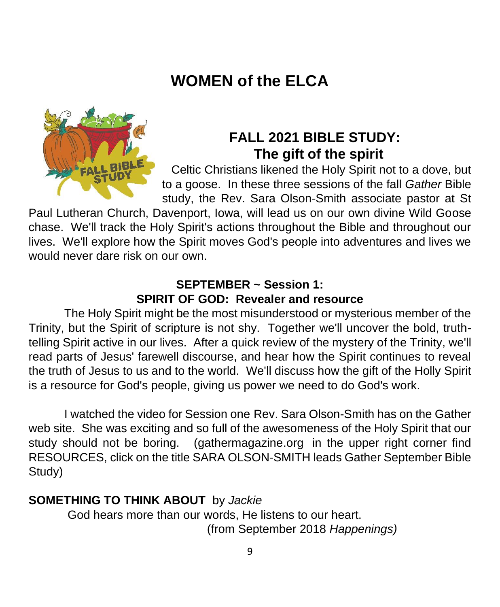# **WOMEN of the ELCA**



### **FALL 2021 BIBLE STUDY: The gift of the spirit**

Celtic Christians likened the Holy Spirit not to a dove, but to a goose. In these three sessions of the fall *Gather* Bible study, the Rev. Sara Olson-Smith associate pastor at St

Paul Lutheran Church, Davenport, Iowa, will lead us on our own divine Wild Goose chase. We'll track the Holy Spirit's actions throughout the Bible and throughout our lives. We'll explore how the Spirit moves God's people into adventures and lives we would never dare risk on our own.

#### **SEPTEMBER ~ Session 1: SPIRIT OF GOD: Revealer and resource**

The Holy Spirit might be the most misunderstood or mysterious member of the Trinity, but the Spirit of scripture is not shy. Together we'll uncover the bold, truthtelling Spirit active in our lives. After a quick review of the mystery of the Trinity, we'll read parts of Jesus' farewell discourse, and hear how the Spirit continues to reveal the truth of Jesus to us and to the world. We'll discuss how the gift of the Holly Spirit is a resource for God's people, giving us power we need to do God's work.

I watched the video for Session one Rev. Sara Olson-Smith has on the Gather web site. She was exciting and so full of the awesomeness of the Holy Spirit that our study should not be boring. (gathermagazine.org in the upper right corner find RESOURCES, click on the title SARA OLSON-SMITH leads Gather September Bible Study)

#### **SOMETHING TO THINK ABOUT** by *Jackie*

God hears more than our words, He listens to our heart. (from September 2018 *Happenings)*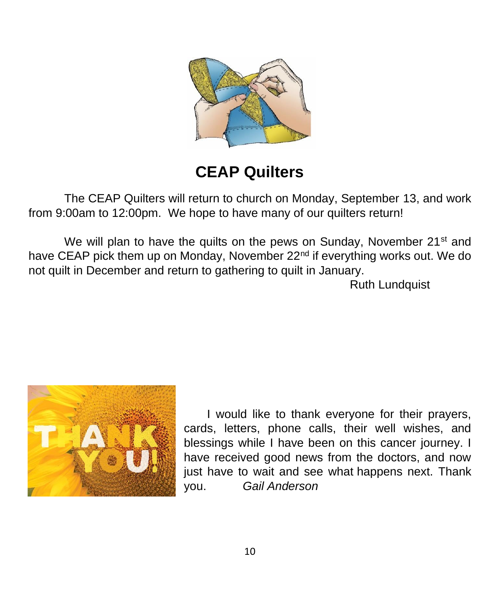

# **CEAP Quilters**

The CEAP Quilters will return to church on Monday, September 13, and work from 9:00am to 12:00pm. We hope to have many of our quilters return!

We will plan to have the quilts on the pews on Sunday, November 21<sup>st</sup> and have CEAP pick them up on Monday, November 22<sup>nd</sup> if everything works out. We do not quilt in December and return to gathering to quilt in January.

Ruth Lundquist



I would like to thank everyone for their prayers, cards, letters, phone calls, their well wishes, and blessings while I have been on this cancer journey. I have received good news from the doctors, and now just have to wait and see what happens next. Thank you. *Gail Anderson*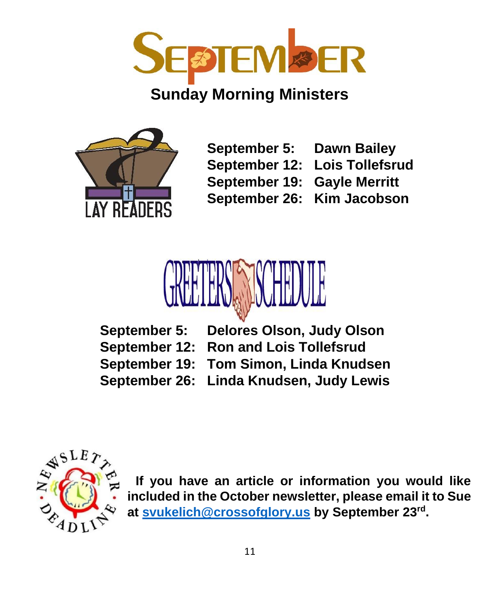

### **Sunday Morning Ministers**



**September 5: Dawn Bailey September 12: Lois Tollefsrud**

- **September 19: Gayle Merritt**
- -
- **September 26: Kim Jacobson**



**September 5: Delores Olson, Judy Olson September 12: Ron and Lois Tollefsrud September 19: Tom Simon, Linda Knudsen September 26: Linda Knudsen, Judy Lewis**



**If you have an article or information you would like included in the October newsletter, please email it to Sue at [svukelich@crossofglory.us](mailto:svukelich@crossofglory.us) by September 23rd .**